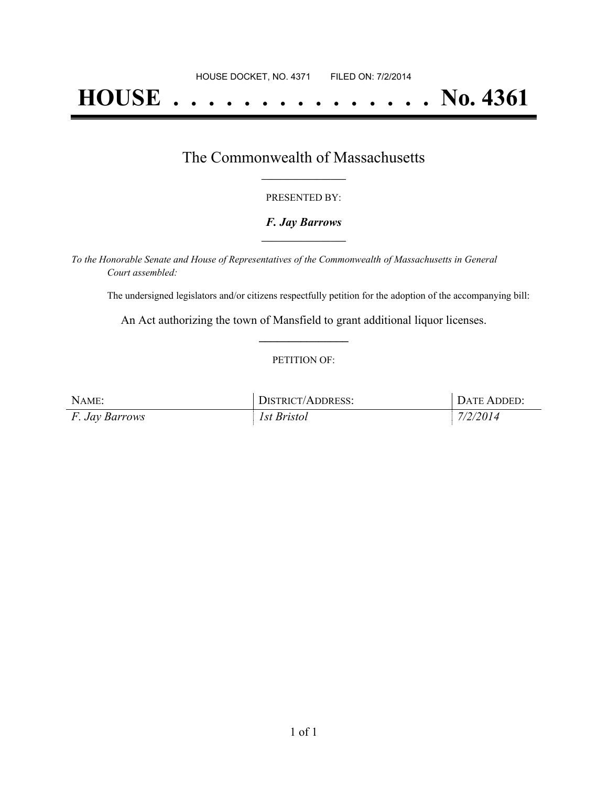# **HOUSE . . . . . . . . . . . . . . . No. 4361**

### The Commonwealth of Massachusetts **\_\_\_\_\_\_\_\_\_\_\_\_\_\_\_\_\_**

#### PRESENTED BY:

#### *F. Jay Barrows* **\_\_\_\_\_\_\_\_\_\_\_\_\_\_\_\_\_**

*To the Honorable Senate and House of Representatives of the Commonwealth of Massachusetts in General Court assembled:*

The undersigned legislators and/or citizens respectfully petition for the adoption of the accompanying bill:

An Act authorizing the town of Mansfield to grant additional liquor licenses. **\_\_\_\_\_\_\_\_\_\_\_\_\_\_\_**

#### PETITION OF:

| NAME:                 | DISTRICT/ADDRESS:  | DATE ADDED: |
|-----------------------|--------------------|-------------|
| <i>F. Jay Barrows</i> | <i>Ist Bristol</i> | 7/2/2014    |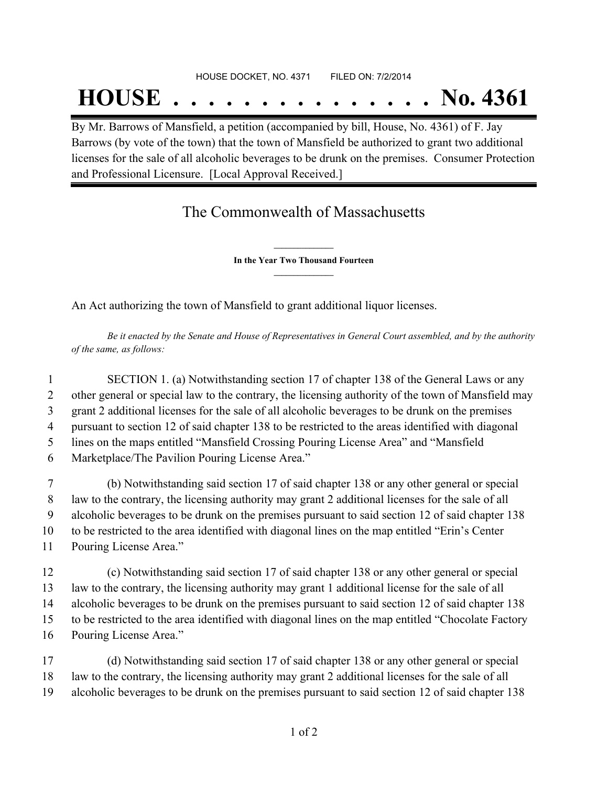## **HOUSE . . . . . . . . . . . . . . . No. 4361**

By Mr. Barrows of Mansfield, a petition (accompanied by bill, House, No. 4361) of F. Jay Barrows (by vote of the town) that the town of Mansfield be authorized to grant two additional licenses for the sale of all alcoholic beverages to be drunk on the premises. Consumer Protection and Professional Licensure. [Local Approval Received.]

### The Commonwealth of Massachusetts

**\_\_\_\_\_\_\_\_\_\_\_\_\_\_\_ In the Year Two Thousand Fourteen \_\_\_\_\_\_\_\_\_\_\_\_\_\_\_**

An Act authorizing the town of Mansfield to grant additional liquor licenses.

Be it enacted by the Senate and House of Representatives in General Court assembled, and by the authority *of the same, as follows:*

 SECTION 1. (a) Notwithstanding section 17 of chapter 138 of the General Laws or any 2 other general or special law to the contrary, the licensing authority of the town of Mansfield may grant 2 additional licenses for the sale of all alcoholic beverages to be drunk on the premises pursuant to section 12 of said chapter 138 to be restricted to the areas identified with diagonal lines on the maps entitled "Mansfield Crossing Pouring License Area" and "Mansfield Marketplace/The Pavilion Pouring License Area."

 (b) Notwithstanding said section 17 of said chapter 138 or any other general or special law to the contrary, the licensing authority may grant 2 additional licenses for the sale of all alcoholic beverages to be drunk on the premises pursuant to said section 12 of said chapter 138 to be restricted to the area identified with diagonal lines on the map entitled "Erin's Center Pouring License Area."

 (c) Notwithstanding said section 17 of said chapter 138 or any other general or special law to the contrary, the licensing authority may grant 1 additional license for the sale of all alcoholic beverages to be drunk on the premises pursuant to said section 12 of said chapter 138 to be restricted to the area identified with diagonal lines on the map entitled "Chocolate Factory Pouring License Area."

17 (d) Notwithstanding said section 17 of said chapter 138 or any other general or special 18 law to the contrary, the licensing authority may grant 2 additional licenses for the sale of all 19 alcoholic beverages to be drunk on the premises pursuant to said section 12 of said chapter 138